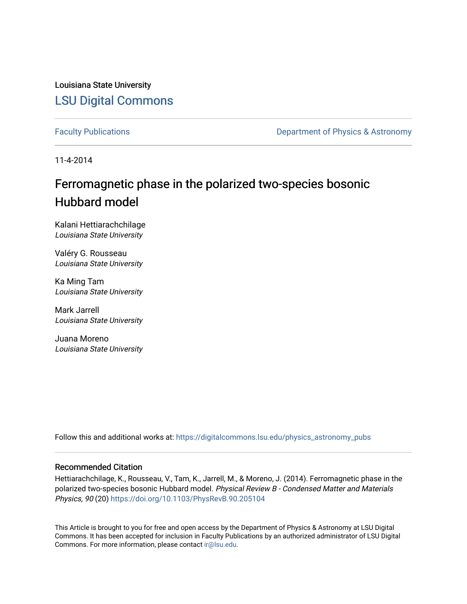Louisiana State University [LSU Digital Commons](https://digitalcommons.lsu.edu/)

[Faculty Publications](https://digitalcommons.lsu.edu/physics_astronomy_pubs) **Exercise 2 and Table 2 and Table 2 and Table 2 and Table 2 and Table 2 and Table 2 and Table 2 and Table 2 and Table 2 and Table 2 and Table 2 and Table 2 and Table 2 and Table 2 and Table 2 and Table** 

11-4-2014

# Ferromagnetic phase in the polarized two-species bosonic Hubbard model

Kalani Hettiarachchilage Louisiana State University

Valéry G. Rousseau Louisiana State University

Ka Ming Tam Louisiana State University

Mark Jarrell Louisiana State University

Juana Moreno Louisiana State University

Follow this and additional works at: [https://digitalcommons.lsu.edu/physics\\_astronomy\\_pubs](https://digitalcommons.lsu.edu/physics_astronomy_pubs?utm_source=digitalcommons.lsu.edu%2Fphysics_astronomy_pubs%2F3583&utm_medium=PDF&utm_campaign=PDFCoverPages) 

## Recommended Citation

Hettiarachchilage, K., Rousseau, V., Tam, K., Jarrell, M., & Moreno, J. (2014). Ferromagnetic phase in the polarized two-species bosonic Hubbard model. Physical Review B - Condensed Matter and Materials Physics, 90 (20)<https://doi.org/10.1103/PhysRevB.90.205104>

This Article is brought to you for free and open access by the Department of Physics & Astronomy at LSU Digital Commons. It has been accepted for inclusion in Faculty Publications by an authorized administrator of LSU Digital Commons. For more information, please contact [ir@lsu.edu](mailto:ir@lsu.edu).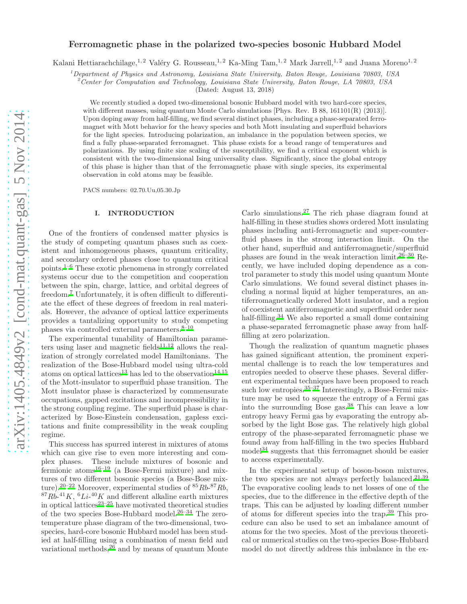## Ferromagnetic phase in the polarized two-species bosonic Hubbard Model

Kalani Hettiarachchilage,<sup>1, 2</sup> Valéry G. Rousseau,<sup>1, 2</sup> Ka-Ming Tam,<sup>1, 2</sup> Mark Jarrell,<sup>1, 2</sup> and Juana Moreno<sup>1, 2</sup>

<sup>1</sup>Department of Physics and Astronomy, Louisiana State University, Baton Rouge, Louisiana 70803, USA

 $^{2}$ Center for Computation and Technology, Louisiana State University, Baton Rouge, LA 70803, USA

(Dated: August 13, 2018)

We recently studied a doped two-dimensional bosonic Hubbard model with two hard-core species, with different masses, using quantum Monte Carlo simulations [Phys. Rev. B 88, 161101(R) (2013)]. Upon doping away from half-filling, we find several distinct phases, including a phase-separated ferromagnet with Mott behavior for the heavy species and both Mott insulating and superfluid behaviors for the light species. Introducing polarization, an imbalance in the population between species, we find a fully phase-separated ferromagnet. This phase exists for a broad range of temperatures and polarizations. By using finite size scaling of the susceptibility, we find a critical exponent which is consistent with the two-dimensional Ising universality class. Significantly, since the global entropy of this phase is higher than that of the ferromagnetic phase with single species, its experimental observation in cold atoms may be feasible.

PACS numbers: 02.70.Uu,05.30.Jp

#### I. INTRODUCTION

One of the frontiers of condensed matter physics is the study of competing quantum phases such as coexistent and inhomogeneous phases, quantum criticality, and secondary ordered phases close to quantum critical points.<sup>[1](#page-6-0)[–6](#page-7-0)</sup> These exotic phenomena in strongly correlated systems occur due to the competition and cooperation between the spin, charge, lattice, and orbital degrees of freedom.[7](#page-7-1) Unfortunately, it is often difficult to differentiate the effect of these degrees of freedom in real materials. However, the advance of optical lattice experiments provides a tantalizing opportunity to study competing phases via controlled external parameters. $8-10$  $8-10$ 

The experimental tunability of Hamiltonian parame-ters using laser and magnetic fields<sup>[11](#page-7-4)[,12](#page-7-5)</sup> allows the realization of strongly correlated model Hamiltonians. The realization of the Bose-Hubbard model using ultra-cold atoms on optical lattices<sup>[13](#page-7-6)</sup> has led to the observation<sup>[14,](#page-7-7)[15](#page-7-8)</sup> of the Mott-insulator to superfluid phase transition. The Mott insulator phase is characterized by commensurate occupations, gapped excitations and incompressibility in the strong coupling regime. The superfluid phase is characterized by Bose-Einstein condensation, gapless excitations and finite compressibility in the weak coupling regime.

This success has spurred interest in mixtures of atoms which can give rise to even more interesting and complex phases. These include mixtures of bosonic and fermionic atoms[16](#page-7-9)[–19](#page-7-10) (a Bose-Fermi mixture) and mixtures of two different bosonic species (a Bose-Bose mix-ture).<sup>[20](#page-7-11)[–22](#page-7-12)</sup> Moreover, experimental studies of  $85Rb-87Rb$ ,  ${}^{87}Rb^{-41}K$ ,  ${}^{6}Li^{-40}K$  and different alkaline earth mixtures in optical lattices<sup>[23](#page-7-13)[–25](#page-7-14)</sup> have motivated theoretical studies of the two species Bose-Hubbard model.<sup>[26](#page-7-15)[–34](#page-7-16)</sup> The zerotemperature phase diagram of the two-dimensional, twospecies, hard-core bosonic Hubbard model has been studied at half-filling using a combination of mean field and variational methods, $2^6$  and by means of quantum Monte

Carlo simulations.[27](#page-7-17) The rich phase diagram found at half-filling in these studies shows ordered Mott insulating phases including anti-ferromagnetic and super-counterfluid phases in the strong interaction limit. On the other hand, superfluid and antiferromagnetic/superfluid phases are found in the weak interaction limit.[26](#page-7-15)[–30](#page-7-18) Recently, we have included doping dependence as a control parameter to study this model using quantum Monte Carlo simulations. We found several distinct phases including a normal liquid at higher temperatures, an antiferromagnetically ordered Mott insulator, and a region of coexistent antiferromagnetic and superfluid order near half-filling.<sup>[34](#page-7-16)</sup> We also reported a small dome containing a phase-separated ferromagnetic phase away from halffilling at zero polarization.

Though the realization of quantum magnetic phases has gained significant attention, the prominent experimental challenge is to reach the low temperatures and entropies needed to observe these phases. Several different experimental techniques have been proposed to reach such low entropies. $35-37$  $35-37$  Interestingly, a Bose-Fermi mixture may be used to squeeze the entropy of a Fermi gas into the surrounding Bose gas. $38$  This can leave a low entropy heavy Fermi gas by evaporating the entropy absorbed by the light Bose gas. The relatively high global entropy of the phase-separated ferromagnetic phase we found away from half-filling in the two species Hubbard  $\text{model}^{34}$  $\text{model}^{34}$  $\text{model}^{34}$  suggests that this ferromagnet should be easier to access experimentally.

In the experimental setup of boson-boson mixtures, the two species are not always perfectly balanced.<sup>[21](#page-7-22)[,39](#page-7-23)</sup> The evaporative cooling leads to net losses of one of the species, due to the difference in the effective depth of the traps. This can be adjusted by loading different number of atoms for different species into the trap.[39](#page-7-23) This procedure can also be used to set an imbalance amount of atoms for the two species. Most of the previous theoretical or numerical studies on the two-species Bose-Hubbard model do not directly address this imbalance in the ex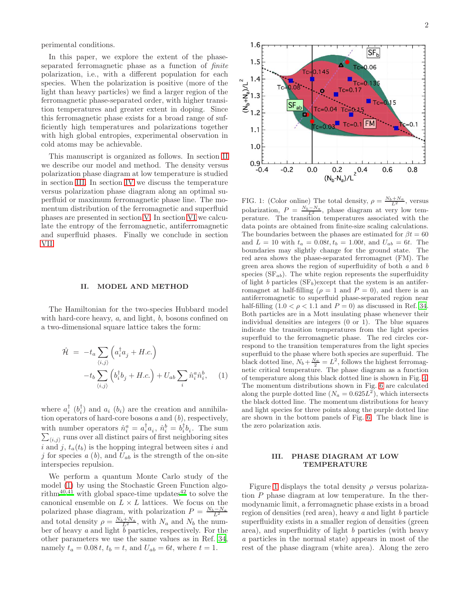perimental conditions.

In this paper, we explore the extent of the phaseseparated ferromagnetic phase as a function of finite polarization, i.e., with a different population for each species. When the polarization is positive (more of the light than heavy particles) we find a larger region of the ferromagnetic phase-separated order, with higher transition temperatures and greater extent in doping. Since this ferromagnetic phase exists for a broad range of sufficiently high temperatures and polarizations together with high global entropies, experimental observation in cold atoms may be achievable.

This manuscript is organized as follows. In section [II](#page-2-0) we describe our model and method. The density versus polarization phase diagram at low temperature is studied in section [III.](#page-2-1) In section [IV](#page-3-0) we discuss the temperature versus polarization phase diagram along an optimal superfluid or maximum ferromagnetic phase line. The momentum distribution of the ferromagnetic and superfluid phases are presented in section [V.](#page-4-0) In section [VI](#page-6-1) we calculate the entropy of the ferromagnetic, antiferromagnetic and superfluid phases. Finally we conclude in section [VII.](#page-6-2)

#### <span id="page-2-0"></span>II. MODEL AND METHOD

The Hamiltonian for the two-species Hubbard model with hard-core heavy, a, and light, b, bosons confined on a two-dimensional square lattice takes the form:

<span id="page-2-2"></span>
$$
\hat{\mathcal{H}} = -t_a \sum_{\langle i,j \rangle} \left( a_i^\dagger a_j + H.c. \right) \n-t_b \sum_{\langle i,j \rangle} \left( b_i^\dagger b_j + H.c. \right) + U_{ab} \sum_i \hat{n}_i^a \hat{n}_i^b, \quad (1)
$$

where  $a_i^{\dagger}$  ( $b_i^{\dagger}$ ) and  $a_i$  ( $b_i$ ) are the creation and annihilation operators of hard-core bosons  $a$  and  $(b)$ , respectively, with number operators  $\hat{n}_i^a = a_i^{\dagger} a_i$ ,  $\hat{n}_i^b = b_i^{\dagger} b_i$  $\sum$ . The sum  $\langle i,j \rangle$  runs over all distinct pairs of first neighboring sites i and j,  $t_a(t_b)$  is the hopping integral between sites i and j for species  $a(b)$ , and  $U_{ab}$  is the strength of the on-site interspecies repulsion.

We perform a quantum Monte Carlo study of the model [\(1\)](#page-2-2) by using the Stochastic Green Function algo-rithm<sup>[40](#page-7-24)[,41](#page-7-25)</sup> with global space-time updates<sup>[42](#page-7-26)</sup> to solve the canonical ensemble on  $L \times L$  lattices. We focus on the polarized phase diagram, with polarization  $P = \frac{N_b - N_a}{L^2}$ and total density  $\rho = \frac{N_b + N_a}{L^2}$ , with  $N_a$  and  $N_b$  the number of heavy a and light  $\bar{b}$  particles, respectively. For the other parameters we use the same values as in Ref. [34](#page-7-16), namely  $t_a = 0.08 t$ ,  $t_b = t$ , and  $U_{ab} = 6t$ , where  $t = 1$ .



<span id="page-2-3"></span>FIG. 1: (Color online) The total density,  $\rho = \frac{N_b + N_a}{L^2}$ , versus polarization,  $P = \frac{N_b - N_a}{L^2}$ , phase diagram at very low temperature. The transition temperatures associated with the data points are obtained from finite-size scaling calculations. The boundaries between the phases are estimated for  $\beta t = 60$ and  $L = 10$  with  $t_a = 0.08t, t_b = 1.00t$ , and  $U_{ab} = 6t$ . The boundaries may slightly change for the ground state. The red area shows the phase-separated ferromagnet (FM). The green area shows the region of superfluidity of both a and b species  $(SF_{ab})$ . The white region represents the superfluidity of light b particles  $(SF_b)$ except that the system is an antiferromagnet at half-filling ( $\rho = 1$  and  $P = 0$ ), and there is an antiferromagnetic to superfluid phase-separated region near half-filling  $(1.0 < \rho < 1.1$  and  $P = 0$ ) as discussed in Ref. [34](#page-7-16). Both particles are in a Mott insulating phase whenever their individual densities are integers (0 or 1). The blue squares indicate the transition temperatures from the light species superfluid to the ferromagnetic phase. The red circles correspond to the transition temperatures from the light species superfluid to the phase where both species are superfluid. The black dotted line,  $N_b + \frac{N_a}{2} = L^2$ , follows the highest ferromagnetic critical temperature. The phase diagram as a function of temperature along this black dotted line is shown in Fig. [4.](#page-4-1) The momentum distributions shown in Fig. [6](#page-5-0) are calculated along the purple dotted line  $(N_a = 0.625L^2)$ , which intersects the black dotted line. The momentum distributions for heavy and light species for three points along the purple dotted line are shown in the bottom panels of Fig. [6.](#page-5-0) The black line is the zero polarization axis.

### <span id="page-2-1"></span>III. PHASE DIAGRAM AT LOW TEMPERATURE

Figure [1](#page-2-3) displays the total density  $\rho$  versus polarization P phase diagram at low temperature. In the thermodynamic limit, a ferromagnetic phase exists in a broad region of densities (red area), heavy  $a$  and light  $b$  particle superfluidity exists in a smaller region of densities (green area), and superfluidity of light b particles (with heavy a particles in the normal state) appears in most of the rest of the phase diagram (white area). Along the zero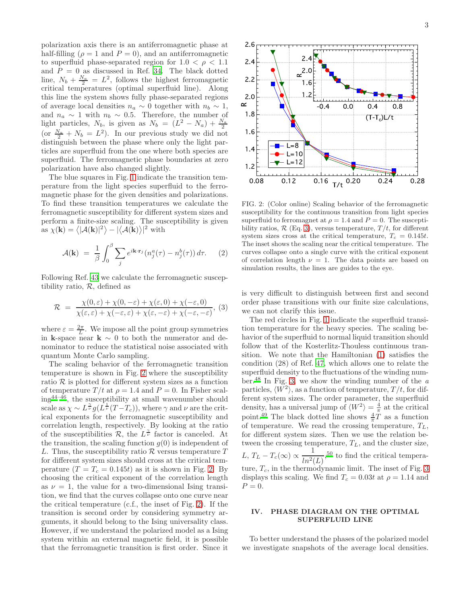polarization axis there is an antiferromagnetic phase at half-filling ( $\rho = 1$  and  $P = 0$ ), and an antiferromagnetic to superfluid phase-separated region for  $1.0 < \rho < 1.1$ and  $P = 0$  as discussed in Ref. [34.](#page-7-16) The black dotted line,  $N_b + \frac{N_a}{2} = L^2$ , follows the highest ferromagnetic critical temperatures (optimal superfluid line). Along this line the system shows fully phase-separated regions of average local densities  $n_a \sim 0$  together with  $n_b \sim 1$ , and  $n_a \sim 1$  with  $n_b \sim 0.5$ . Therefore, the number of light particles,  $N_b$ , is given as  $N_b = (L^2 - N_a) + \frac{N_a}{2}$ (or  $\frac{N_a}{2} + N_b = L^2$ ). In our previous study we did not distinguish between the phase where only the light particles are superfluid from the one where both species are superfluid. The ferromagnetic phase boundaries at zero polarization have also changed slightly.

The blue squares in Fig. [1](#page-2-3) indicate the transition temperature from the light species superfluid to the ferromagnetic phase for the given densities and polarizations. To find these transition temperatures we calculate the ferromagnetic susceptibility for different system sizes and perform a finite-size scaling. The susceptibility is given as  $\chi(\mathbf{k}) = \langle |\mathcal{A}(\mathbf{k})|^2 \rangle - |\langle \mathcal{A}(\mathbf{k}) \rangle|^2$  with

$$
\mathcal{A}(\mathbf{k}) = \frac{1}{\beta} \int_0^\beta \sum_j e^{i\mathbf{k} \cdot \mathbf{r}_j} (n_j^a(\tau) - n_j^b(\tau)) d\tau.
$$
 (2)

Following Ref. [43](#page-7-27) we calculate the ferromagnetic susceptibility ratio,  $R$ , defined as

<span id="page-3-2"></span>
$$
\mathcal{R} = \frac{\chi(0,\varepsilon) + \chi(0,-\varepsilon) + \chi(\varepsilon,0) + \chi(-\varepsilon,0)}{\chi(\varepsilon,\varepsilon) + \chi(-\varepsilon,\varepsilon) + \chi(\varepsilon,-\varepsilon) + \chi(-\varepsilon,-\varepsilon)},\tag{3}
$$

where  $\varepsilon = \frac{2\pi}{L}$ . We impose all the point group symmetries in k-space near  $k \sim 0$  to both the numerator and denominator to reduce the statistical noise associated with quantum Monte Carlo sampling.

The scaling behavior of the ferromagnetic transition temperature is shown in Fig. [2](#page-3-1) where the susceptibility ratio  $R$  is plotted for different system sizes as a function of temperature  $T/t$  at  $\rho = 1.4$  and  $P = 0$ . In Fisher scal- $ing^{44-46}$  $ing^{44-46}$  $ing^{44-46}$ , the susceptibility at small wavenumber should scale as  $\chi \sim L^{\frac{\gamma}{\nu}} g(L^{\frac{1}{\nu}}(T-T_c))$ , where  $\gamma$  and  $\nu$  are the critical exponents for the ferromagnetic susceptibility and correlation length, respectively. By looking at the ratio of the susceptibilities  $\mathcal{R}$ , the  $L^{\frac{\gamma}{\nu}}$  factor is canceled. At the transition, the scaling function  $g(0)$  is independent of L. Thus, the susceptibility ratio  $\mathcal R$  versus temperature  $T$ for different system sizes should cross at the critical temperature  $(T = T_c = 0.145t)$  as it is shown in Fig. [2.](#page-3-1) By choosing the critical exponent of the correlation length as  $\nu = 1$ , the value for a two-dimensional Ising transition, we find that the curves collapse onto one curve near the critical temperature (c.f., the inset of Fig. [2\)](#page-3-1). If the transition is second order by considering symmetry arguments, it should belong to the Ising universality class. However, if we understand the polarized model as a Ising system within an external magnetic field, it is possible that the ferromagnetic transition is first order. Since it



<span id="page-3-1"></span>FIG. 2: (Color online) Scaling behavior of the ferromagnetic susceptibility for the continuous transition from light species superfluid to ferromagnet at  $\rho = 1.4$  and  $P = 0$ . The susceptibility ratios,  $\mathcal{R}$  (Eq. [3\)](#page-3-2), versus temperature,  $T/t$ , for different system sizes cross at the critical temperature,  $T_c = 0.145t$ . The inset shows the scaling near the critical temperature. The curves collapse onto a single curve with the critical exponent of correlation length  $\nu = 1$ . The data points are based on simulation results, the lines are guides to the eye.

is very difficult to distinguish between first and second order phase transitions with our finite size calculations, we can not clarify this issue.

The red circles in Fig. [1](#page-2-3) indicate the superfluid transition temperature for the heavy species. The scaling behavior of the superfluid to normal liquid transition should follow that of the Kosterlitz-Thouless continuous transition. We note that the Hamiltonian [\(1\)](#page-2-2) satisfies the condition (28) of Ref. [47,](#page-7-30) which allows one to relate the superfluid density to the fluctuations of the winding num-ber.<sup>[48](#page-7-31)</sup> In Fig. [3,](#page-4-2) we show the winding number of the  $a$ particles,  $\langle W^2 \rangle$ , as a function of temperature,  $T/t$ , for different system sizes. The order parameter, the superfluid density, has a universal jump of  $\langle W^2 \rangle = \frac{4}{\pi}$  at the critical point.<sup>[49](#page-7-32)</sup> The black dotted line shows  $\frac{4}{\pi}T$  as a function of temperature. We read the crossing temperature,  $T_L$ , for different system sizes. Then we use the relation between the crossing temperature,  $T_L$ , and the cluster size, L,  $T_L - T_c(\infty) \propto \frac{1}{L_c^2}$  $\frac{1}{ln^2(L)}$ ,<sup>[50](#page-7-33)</sup> to find the critical temperature,  $T_c$ , in the thermodynamic limit. The inset of Fig. [3](#page-4-2) displays this scaling. We find  $T_c = 0.03t$  at  $\rho = 1.14$  and  $P=0.$ 

## <span id="page-3-0"></span>IV. PHASE DIAGRAM ON THE OPTIMAL SUPERFLUID LINE

To better understand the phases of the polarized model we investigate snapshots of the average local densities.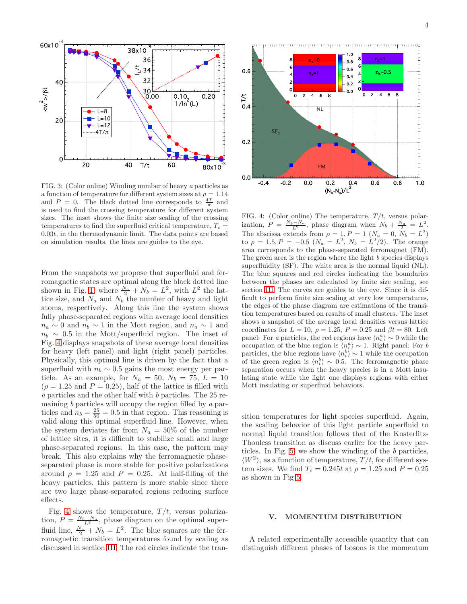

<span id="page-4-2"></span>FIG. 3: (Color online) Winding number of heavy a particles as a function of temperature for different system sizes at  $\rho = 1.14$ and  $P = 0$ . The black dotted line corresponds to  $\frac{4T}{\pi}$  and is used to find the crossing temperature for different system sizes. The inset shows the finite size scaling of the crossing temperatures to find the superfluid critical temperature,  $T_c =$  $0.03t$ , in the thermodynamic limit. The data points are based on simulation results, the lines are guides to the eye.

From the snapshots we propose that superfluid and ferromagnetic states are optimal along the black dotted line shown in Fig. [1,](#page-2-3) where  $\frac{N_a}{2} + N_b = L^2$ , with  $L^2$  the lattice size, and  $N_a$  and  $N_b$  the number of heavy and light atoms, respectively. Along this line the system shows fully phase-separated regions with average local densities  $n_a \sim 0$  and  $n_b \sim 1$  in the Mott region, and  $n_a \sim 1$  and  $n_b \sim 0.5$  in the Mott/superfluid region. The inset of Fig. [4](#page-4-1) displays snapshots of these average local densities for heavy (left panel) and light (right panel) particles. Physically, this optimal line is driven by the fact that a superfluid with  $n_b \sim 0.5$  gains the most energy per particle. As an example, for  $N_a = 50$ ,  $N_b = 75$ ,  $L = 10$  $(\rho = 1.25$  and  $P = 0.25$ , half of the lattice is filled with a particles and the other half with b particles. The 25 remaining b particles will occupy the region filled by a particles and  $n_b = \frac{25}{50} = 0.5$  in that region. This reasoning is valid along this optimal superfluid line. However, when the system deviates far from  $N_a = 50\%$  of the number of lattice sites, it is difficult to stabilize small and large phase-separated regions. In this case, the pattern may break. This also explains why the ferromagnetic phaseseparated phase is more stable for positive polarizations around  $\rho = 1.25$  and  $P = 0.25$ . At half-filling of the heavy particles, this pattern is more stable since there are two large phase-separated regions reducing surface effects.

Fig. [4](#page-4-1) shows the temperature,  $T/t$ , versus polarization,  $P = \frac{N_b - N_a}{L^2}$ , phase diagram on the optimal superfluid line,  $\frac{N_a}{2} + N_b = L^2$ . The blue squares are the ferromagnetic transition temperatures found by scaling as discussed in section [III.](#page-2-1) The red circles indicate the tran-



<span id="page-4-1"></span>FIG. 4: (Color online) The temperature,  $T/t$ , versus polarization,  $P = \frac{N_b - N_a}{L^2}$ , phase diagram when  $N_b + \frac{N_a}{2} = L^2$ . The abscissa extends from  $\rho = 1, P = 1 \ (N_a = 0, N_b = L^2)$ to  $\rho = 1.5, P = -0.5$   $(N_a = L^2, N_b = L^2/2)$ . The orange area corresponds to the phase-separated ferromagnet (FM). The green area is the region where the light  $b$  species displays superfluidity (SF). The white area is the normal liquid (NL). The blue squares and red circles indicating the boundaries between the phases are calculated by finite size scaling, see section [III.](#page-2-1) The curves are guides to the eye. Since it is difficult to perform finite size scaling at very low temperatures, the edges of the phase diagram are estimations of the transition temperatures based on results of small clusters. The inset shows a snapshot of the average local densities versus lattice coordinates for  $L = 10$ ,  $\rho = 1.25$ ,  $P = 0.25$  and  $\beta t = 80$ . Left panel: For a particles, the red regions have  $\langle n_i^a \rangle \sim 0$  while the occupation of the blue region is  $\langle n_i^a \rangle \sim 1$ . Right panel: For b particles, the blue regions have  $\langle n_i^b \rangle \sim 1$  while the occupation of the green region is  $\langle n_i^b \rangle \sim 0.5$ . The ferromagnetic phase separation occurs when the heavy species is in a Mott insulating state while the light one displays regions with either Mott insulating or superfluid behaviors.

sition temperatures for light species superfluid. Again, the scaling behavior of this light particle superfluid to normal liquid transition follows that of the Kosterlitz-Thouless transition as discuss earlier for the heavy particles. In Fig. [5,](#page-5-1) we show the winding of the b particles,  $\langle W^2 \rangle$ , as a function of temperature,  $T/t$ , for different system sizes. We find  $T_c = 0.245t$  at  $\rho = 1.25$  and  $P = 0.25$ as shown in Fig [5.](#page-5-1)

#### <span id="page-4-0"></span>V. MOMENTUM DISTRIBUTION

A related experimentally accessible quantity that can distinguish different phases of bosons is the momentum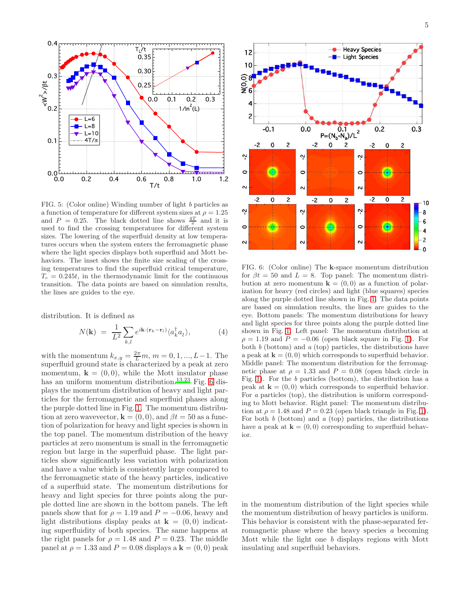

<span id="page-5-1"></span>FIG. 5: (Color online) Winding number of light b particles as a function of temperature for different system sizes at  $\rho = 1.25$ and  $P = 0.25$ . The black dotted line shows  $\frac{4T}{\pi}$  and it is used to find the crossing temperatures for different system sizes. The lowering of the superfluid density at low temperatures occurs when the system enters the ferromagnetic phase where the light species displays both superfluid and Mott behaviors. The inset shows the finite size scaling of the crossing temperatures to find the superfluid critical temperature,  $T_c = 0.245t$ , in the thermodynamic limit for the continuous transition. The data points are based on simulation results, the lines are guides to the eye.

distribution. It is defined as

$$
N(\mathbf{k}) = \frac{1}{L^2} \sum_{k,l} e^{i\mathbf{k} \cdot (\mathbf{r}_k - \mathbf{r}_l)} \langle a_k^{\dagger} a_l \rangle, \tag{4}
$$

with the momentum  $k_{x,y} = \frac{2\pi}{L}m$ ,  $m = 0, 1, ..., L-1$ . The superfluid ground state is characterized by a peak at zero momentum,  $\mathbf{k} = (0, 0)$ , while the Mott insulator phase has an uniform momentum distribution.<sup>[13](#page-7-6)[,23](#page-7-13)</sup> Fig.  $6$  displays the momentum distribution of heavy and light particles for the ferromagnetic and superfluid phases along the purple dotted line in Fig. [1.](#page-2-3) The momentum distribution at zero wavevector,  $\mathbf{k} = (0, 0)$ , and  $\beta t = 50$  as a function of polarization for heavy and light species is shown in the top panel. The momentum distribution of the heavy particles at zero momentum is small in the ferromagnetic region but large in the superfluid phase. The light particles show significantly less variation with polarization and have a value which is consistently large compared to the ferromagnetic state of the heavy particles, indicative of a superfluid state. The momentum distributions for heavy and light species for three points along the purple dotted line are shown in the bottom panels. The left panels show that for  $\rho = 1.19$  and  $P = -0.06$ , heavy and light distributions display peaks at  $\mathbf{k} = (0, 0)$  indicating superfluidity of both species. The same happens at the right panels for  $\rho = 1.48$  and  $P = 0.23$ . The middle panel at  $\rho = 1.33$  and  $P = 0.08$  displays a  $\mathbf{k} = (0, 0)$  peak



<span id="page-5-0"></span>FIG. 6: (Color online) The k-space momentum distribution for  $\beta t = 50$  and  $L = 8$ . Top panel: The momentum distribution at zero momentum  $\mathbf{k} = (0,0)$  as a function of polarization for heavy (red circles) and light (blue squares) species along the purple dotted line shown in Fig. [1.](#page-2-3) The data points are based on simulation results, the lines are guides to the eye. Bottom panels: The momentum distributions for heavy and light species for three points along the purple dotted line shown in Fig. [1.](#page-2-3) Left panel: The momentum distribution at  $\rho = 1.19$  and  $P = -0.06$  (open black square in Fig. [1\)](#page-2-3). For both  $b$  (bottom) and  $a$  (top) particles, the distributions have a peak at  $\mathbf{k} = (0, 0)$  which corresponds to superfluid behavior. Middle panel: The momentum distribution for the ferromagnetic phase at  $\rho = 1.33$  and  $P = 0.08$  (open black circle in Fig. [1\)](#page-2-3). For the b particles (bottom), the distribution has a peak at  $\mathbf{k} = (0, 0)$  which corresponds to superfluid behavior. For a particles (top), the distribution is uniform corresponding to Mott behavior. Right panel: The momentum distribution at  $\rho = 1.48$  and  $P = 0.23$  (open black triangle in Fig. [1\)](#page-2-3). For both  $b$  (bottom) and  $a$  (top) particles, the distributions have a peak at  $\mathbf{k} = (0, 0)$  corresponding to superfluid behavior.

in the momentum distribution of the light species while the momentum distribution of heavy particles is uniform. This behavior is consistent with the phase-separated ferromagnetic phase where the heavy species a becoming Mott while the light one b displays regions with Mott insulating and superfluid behaviors.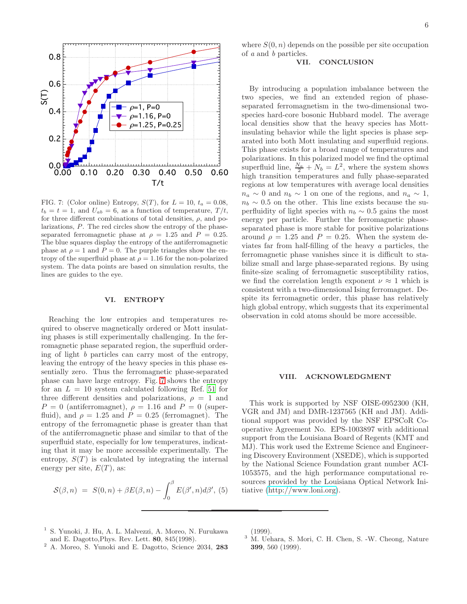

<span id="page-6-3"></span>FIG. 7: (Color online) Entropy,  $S(T)$ , for  $L = 10$ ,  $t_a = 0.08$ ,  $t_b = t = 1$ , and  $U_{ab} = 6$ , as a function of temperature,  $T/t$ , for three different combinations of total densities,  $\rho$ , and polarizations, P. The red circles show the entropy of the phaseseparated ferromagnetic phase at  $\rho = 1.25$  and  $P = 0.25$ . The blue squares display the entropy of the antiferromagnetic phase at  $\rho = 1$  and  $P = 0$ . The purple triangles show the entropy of the superfluid phase at  $\rho = 1.16$  for the non-polarized system. The data points are based on simulation results, the lines are guides to the eye.

#### <span id="page-6-1"></span>VI. ENTROPY

Reaching the low entropies and temperatures required to observe magnetically ordered or Mott insulating phases is still experimentally challenging. In the ferromagnetic phase separated region, the superfluid ordering of light b particles can carry most of the entropy, leaving the entropy of the heavy species in this phase essentially zero. Thus the ferromagnetic phase-separated phase can have large entropy. Fig. [7](#page-6-3) shows the entropy for an  $L = 10$  system calculated following Ref. [51](#page-7-34) for three different densities and polarizations,  $\rho = 1$  and  $P = 0$  (antiferromagnet),  $\rho = 1.16$  and  $P = 0$  (superfluid), and  $\rho = 1.25$  and  $P = 0.25$  (ferromagnet). The entropy of the ferromagnetic phase is greater than that of the antiferromagnetic phase and similar to that of the superfluid state, especially for low temperatures, indicating that it may be more accessible experimentally. The entropy,  $S(T)$  is calculated by integrating the internal energy per site,  $E(T)$ , as:

$$
S(\beta, n) = S(0, n) + \beta E(\beta, n) - \int_0^\beta E(\beta', n) d\beta', (5)
$$

where  $S(0, n)$  depends on the possible per site occupation of a and b particles.

## <span id="page-6-2"></span>VII. CONCLUSION

By introducing a population imbalance between the two species, we find an extended region of phaseseparated ferromagnetism in the two-dimensional twospecies hard-core bosonic Hubbard model. The average local densities show that the heavy species has Mottinsulating behavior while the light species is phase separated into both Mott insulating and superfluid regions. This phase exists for a broad range of temperatures and polarizations. In this polarized model we find the optimal superfluid line,  $\frac{N_a}{2} + N_b = L^2$ , where the system shows high transition temperatures and fully phase-separated regions at low temperatures with average local densities  $n_a \sim 0$  and  $n_b \sim 1$  on one of the regions, and  $n_a \sim 1$ ,  $n_b \sim 0.5$  on the other. This line exists because the superfluidity of light species with  $n_b \sim 0.5$  gains the most energy per particle. Further the ferromagnetic phaseseparated phase is more stable for positive polarizations around  $\rho = 1.25$  and  $P = 0.25$ . When the system deviates far from half-filling of the heavy a particles, the ferromagnetic phase vanishes since it is difficult to stabilize small and large phase-separated regions. By using finite-size scaling of ferromagnetic susceptibility ratios, we find the correlation length exponent  $\nu \approx 1$  which is consistent with a two-dimensional Ising ferromagnet. Despite its ferromagnetic order, this phase has relatively high global entropy, which suggests that its experimental observation in cold atoms should be more accessible.

#### VIII. ACKNOWLEDGMENT

This work is supported by NSF OISE-0952300 (KH, VGR and JM) and DMR-1237565 (KH and JM). Additional support was provided by the NSF EPSCoR Cooperative Agreement No. EPS-1003897 with additional support from the Louisiana Board of Regents (KMT and MJ). This work used the Extreme Science and Engineering Discovery Environment (XSEDE), which is supported by the National Science Foundation grant number ACI-1053575, and the high performance computational resources provided by the Louisiana Optical Network Initiative [\(http://www.loni.org\)](http://www.loni.org).

- <span id="page-6-0"></span><sup>1</sup> S. Yunoki, J. Hu, A. L. Malvezzi, A. Moreo, N. Furukawa and E. Dagotto,Phys. Rev. Lett. 80, 845(1998).
- <sup>2</sup> A. Moreo, S. Yunoki and E. Dagotto, Science 2034, 283

(1999).

<sup>3</sup> M. Uehara, S. Mori, C. H. Chen, S. -W. Cheong, Nature 399, 560 (1999).